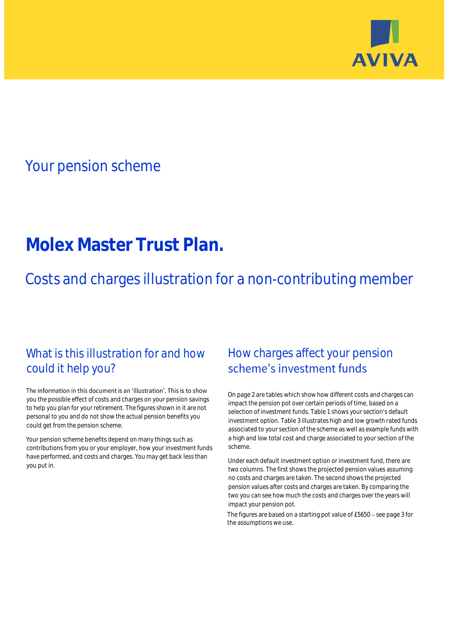

# Your pension scheme

# **Molex Master Trust Plan.**

Costs and charges illustration for a non-contributing member

# What is this illustration for and how could it help you?

### The information in this document is an 'illustration'. This is to show you the possible effect of costs and charges on your pension savings to help you plan for your retirement. The figures shown in it are not personal to you and do not show the actual pension benefits you could get from the pension scheme.

Your pension scheme benefits depend on many things such as contributions from you or your employer, how your investment funds have performed, and costs and charges. You may get back less than you put in.

# How charges affect your pension scheme's investment funds

On page 2 are tables which show how different costs and charges can impact the pension pot over certain periods of time, based on a selection of investment funds. Table 1 shows your section's default investment option. Table 3 illustrates high and low growth rated funds associated to your section of the scheme as well as example funds with a high and low total cost and charge associated to your section of the scheme.

Under each default investment option or investment fund, there are two columns. The first shows the projected pension values assuming no costs and charges are taken. The second shows the projected pension values after costs and charges are taken. By comparing the two you can see how much the costs and charges over the years will impact your pension pot.

The figures are based on a starting pot value of £5650 - see page 3 for the assumptions we use.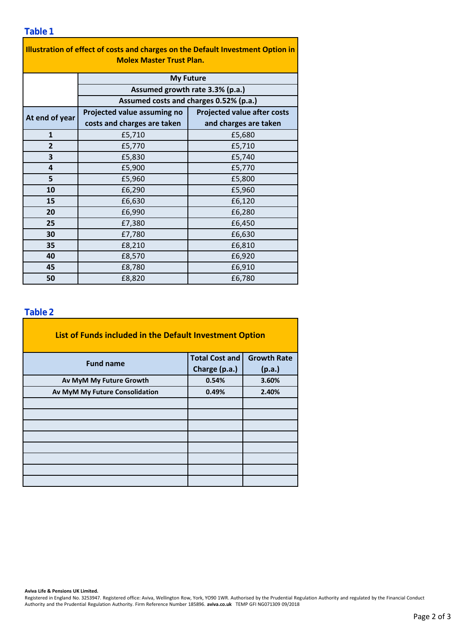### **Table 1**

| Illustration of effect of costs and charges on the Default Investment Option in |                                                                                               |                                    |  |  |  |  |  |  |  |
|---------------------------------------------------------------------------------|-----------------------------------------------------------------------------------------------|------------------------------------|--|--|--|--|--|--|--|
| <b>Molex Master Trust Plan.</b>                                                 |                                                                                               |                                    |  |  |  |  |  |  |  |
|                                                                                 | <b>My Future</b><br>Assumed growth rate 3.3% (p.a.)<br>Assumed costs and charges 0.52% (p.a.) |                                    |  |  |  |  |  |  |  |
|                                                                                 |                                                                                               |                                    |  |  |  |  |  |  |  |
|                                                                                 |                                                                                               |                                    |  |  |  |  |  |  |  |
| At end of year                                                                  | Projected value assuming no                                                                   | <b>Projected value after costs</b> |  |  |  |  |  |  |  |
|                                                                                 | costs and charges are taken                                                                   | and charges are taken              |  |  |  |  |  |  |  |
| $\mathbf{1}$                                                                    | £5,710                                                                                        | £5,680                             |  |  |  |  |  |  |  |
| $\overline{2}$                                                                  | £5,770                                                                                        | £5,710                             |  |  |  |  |  |  |  |
| 3                                                                               | £5,830                                                                                        | £5,740                             |  |  |  |  |  |  |  |
| 4                                                                               | £5,900                                                                                        | £5,770                             |  |  |  |  |  |  |  |
| 5                                                                               | £5,960                                                                                        | £5,800                             |  |  |  |  |  |  |  |
| 10                                                                              | £6,290                                                                                        | £5,960                             |  |  |  |  |  |  |  |
| 15                                                                              | £6,630                                                                                        | £6,120                             |  |  |  |  |  |  |  |
| 20                                                                              | £6,990                                                                                        | £6,280                             |  |  |  |  |  |  |  |
| 25                                                                              | £7,380                                                                                        | £6,450                             |  |  |  |  |  |  |  |
| 30                                                                              | £7,780                                                                                        | £6,630                             |  |  |  |  |  |  |  |
| 35                                                                              | £8,210                                                                                        | £6,810                             |  |  |  |  |  |  |  |
| 40                                                                              | £8,570                                                                                        | £6,920                             |  |  |  |  |  |  |  |
| 45                                                                              | £8,780                                                                                        | £6,910                             |  |  |  |  |  |  |  |
| 50                                                                              | £8,820                                                                                        | £6,780                             |  |  |  |  |  |  |  |

### **Table 2**

| List of Funds included in the Default Investment Option |                       |                    |  |  |  |  |  |  |
|---------------------------------------------------------|-----------------------|--------------------|--|--|--|--|--|--|
| <b>Fund name</b>                                        | <b>Total Cost and</b> | <b>Growth Rate</b> |  |  |  |  |  |  |
|                                                         | Charge (p.a.)         | (p.a.)             |  |  |  |  |  |  |
| Av MyM My Future Growth                                 | 0.54%                 | 3.60%              |  |  |  |  |  |  |
| Av MyM My Future Consolidation                          | 0.49%                 | 2.40%              |  |  |  |  |  |  |
|                                                         |                       |                    |  |  |  |  |  |  |
|                                                         |                       |                    |  |  |  |  |  |  |
|                                                         |                       |                    |  |  |  |  |  |  |
|                                                         |                       |                    |  |  |  |  |  |  |
|                                                         |                       |                    |  |  |  |  |  |  |
|                                                         |                       |                    |  |  |  |  |  |  |
|                                                         |                       |                    |  |  |  |  |  |  |
|                                                         |                       |                    |  |  |  |  |  |  |

#### **Aviva Life & Pensions UK Limited.**

Registered in England No. 3253947. Registered office: Aviva, Wellington Row, York, YO90 1WR. Authorised by the Prudential Regulation Authority and regulated by the Financial Conduct Authority and the Prudential Regulation Authority. Firm Reference Number 185896. **aviva.co.uk** TEMP GFI NG071309 09/2018